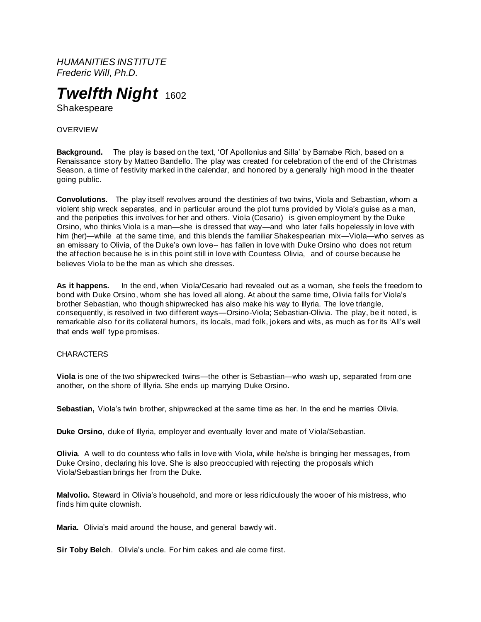*HUMANITIES INSTITUTE Frederic Will, Ph.D.*



Shakespeare

**OVERVIEW** 

**Background.** The play is based on the text, 'Of Apollonius and Silla' by Barnabe Rich, based on a Renaissance story by Matteo Bandello. The play was created for celebration of the end of the Christmas Season, a time of festivity marked in the calendar, and honored by a generally high mood in the theater going public.

**Convolutions.** The play itself revolves around the destinies of two twins, Viola and Sebastian, whom a violent ship wreck separates, and in particular around the plot turns provided by Viola's guise as a man, and the peripeties this involves for her and others. Viola (Cesario) is given employment by the Duke Orsino, who thinks Viola is a man—she is dressed that way—and who later falls hopelessly in love with him (her)—while at the same time, and this blends the familiar Shakespearian mix—Viola—who serves as an emissary to Olivia, of the Duke's own love-- has fallen in love with Duke Orsino who does not return the affection because he is in this point still in love with Countess Olivia, and of course because he believes Viola to be the man as which she dresses.

**As it happens.** In the end, when Viola/Cesario had revealed out as a woman, she feels the freedom to bond with Duke Orsino, whom she has loved all along. At about the same time, Olivia falls for Viola's brother Sebastian, who though shipwrecked has also make his way to Illyria. The love triangle, consequently, is resolved in two different ways—Orsino-Viola; Sebastian-Olivia. The play, be it noted, is remarkable also for its collateral humors, its locals, mad folk, jokers and wits, as much as for its 'All's well that ends well' type promises.

## **CHARACTERS**

**Viola** is one of the two shipwrecked twins—the other is Sebastian—who wash up, separated from one another, on the shore of Illyria. She ends up marrying Duke Orsino.

**Sebastian,** Viola's twin brother, shipwrecked at the same time as her. In the end he marries Olivia.

**Duke Orsino**, duke of Illyria, employer and eventually lover and mate of Viola/Sebastian.

**Olivia**. A well to do countess who falls in love with Viola, while he/she is bringing her messages, from Duke Orsino, declaring his love. She is also preoccupied with rejecting the proposals which Viola/Sebastian brings her from the Duke.

**Malvolio.** Steward in Olivia's household, and more or less ridiculously the wooer of his mistress, who finds him quite clownish.

**Maria.** Olivia's maid around the house, and general bawdy wit.

**Sir Toby Belch**. Olivia's uncle. For him cakes and ale come first.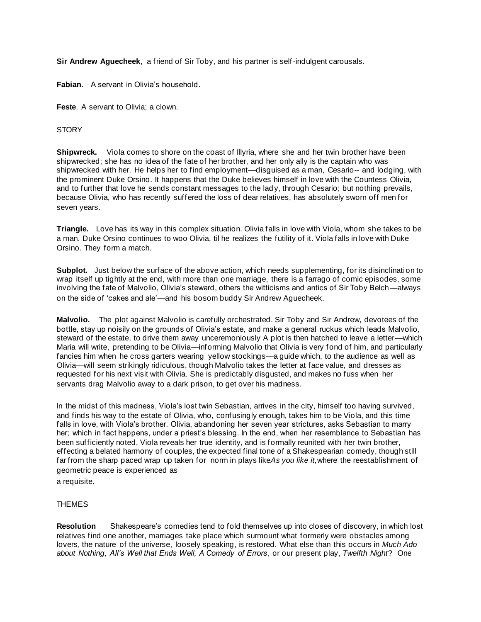**Sir Andrew Aguecheek**, a friend of Sir Toby, and his partner is self-indulgent carousals.

**Fabian**. A servant in Olivia's household.

**Feste**. A servant to Olivia; a clown.

# **STORY**

**Shipwreck.** Viola comes to shore on the coast of Illyria, where she and her twin brother have been shipwrecked; she has no idea of the fate of her brother, and her only ally is the captain who was shipwrecked with her. He helps her to find employment—disguised as a man, Cesario-- and lodging, with the prominent Duke Orsino. It happens that the Duke believes himself in love with the Countess Olivia, and to further that love he sends constant messages to the lady, through Cesario; but nothing prevails, because Olivia, who has recently suffered the loss of dear relatives, has absolutely sworn off men for seven years.

**Triangle.** Love has its way in this complex situation. Olivia falls in love with Viola, whom she takes to be a man. Duke Orsino continues to woo Olivia, til he realizes the futility of it. Viola falls in love with Duke Orsino. They form a match.

**Subplot.** Just below the surface of the above action, which needs supplementing, for its disinclination to wrap itself up tightly at the end, with more than one marriage, there is a farrago of comic episodes, some involving the fate of Malvolio, Olivia's steward, others the witticisms and antics of Sir Toby Belch—always on the side of 'cakes and ale'—and his bosom buddy Sir Andrew Aguecheek.

**Malvolio.** The plot against Malvolio is carefully orchestrated. Sir Toby and Sir Andrew, devotees of the bottle, stay up noisily on the grounds of Olivia's estate, and make a general ruckus which leads Malvolio, steward of the estate, to drive them away unceremoniously A plot is then hatched to leave a letter—which Maria will write, pretending to be Olivia—informing Malvolio that Olivia is very fond of him, and particularly fancies him when he cross garters wearing yellow stockings—a guide which, to the audience as well as Olivia—will seem strikingly ridiculous, though Malvolio takes the letter at face value, and dresses as requested for his next visit with Olivia. She is predictably disgusted, and makes no fuss when her servants drag Malvolio away to a dark prison, to get over his madness.

In the midst of this madness, Viola's lost twin Sebastian, arrives in the city, himself too having survived, and finds his way to the estate of Olivia, who, confusingly enough, takes him to be Viola, and this time falls in love, with Viola's brother. Olivia, abandoning her seven year strictures, asks Sebastian to marry her; which in fact happens, under a priest's blessing. In the end, when her resemblance to Sebastian has been sufficiently noted, Viola reveals her true identity, and is formally reunited with her twin brother, effecting a belated harmony of couples, the expected final tone of a Shakespearian comedy, though still far from the sharp paced wrap up taken for norm in plays like*As you like it,*where the reestablishment of geometric peace is experienced as

a requisite.

## **THEMES**

**Resolution** Shakespeare's comedies tend to fold themselves up into closes of discovery, in which lost relatives find one another, marriages take place which surmount what formerly were obstacles among lovers, the nature of the universe, loosely speaking, is restored. What else than this occurs in *Much Ado about Nothing*, *All's Well that Ends Well, A Comedy of Errors*, or our present play, *Twelfth Night*? One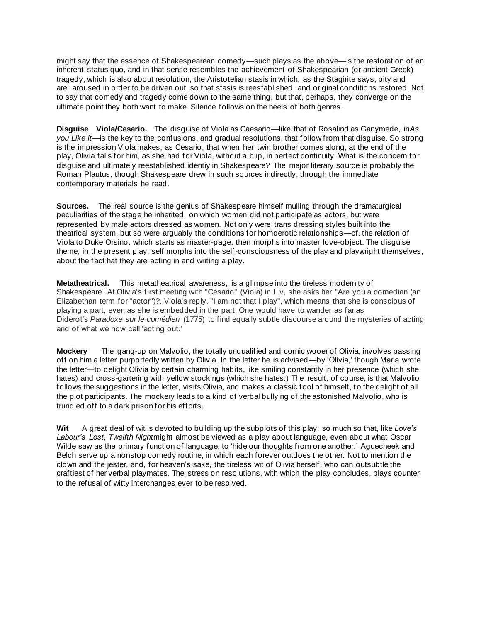might say that the essence of Shakespearean comedy—such plays as the above—is the restoration of an inherent status quo, and in that sense resembles the achievement of Shakespearian (or ancient Greek) tragedy, which is also about resolution, the Aristotelian stasis in which, as the Stagirite says, pity and are aroused in order to be driven out, so that stasis is reestablished, and original conditions restored. Not to say that comedy and tragedy come down to the same thing, but that, perhaps, they converge on the ultimate point they both want to make. Silence follows on the heels of both genres.

**Disguise Viola/Cesario.** The disguise of Viola as Caesario—like that of Rosalind as Ganymede, in*As you Like it*—is the key to the confusions, and gradual resolutions, that follow from that disguise. So strong is the impression Viola makes, as Cesario, that when her twin brother comes along, at the end of the play, Olivia falls for him, as she had for Viola, without a blip, in perfect continuity. What is the concern for disguise and ultimately reestablished identiy in Shakespeare? The major literary source is probably the Roman Plautus, though Shakespeare drew in such sources indirectly, through the immediate contemporary materials he read.

**Sources.** The real source is the genius of Shakespeare himself mulling through the dramaturgical peculiarities of the stage he inherited, on which women did not participate as actors, but were represented by male actors dressed as women. Not only were trans dressing styles built into the theatrical system, but so were arguably the conditions for homoerotic relationships—cf. the relation of Viola to Duke Orsino, which starts as master-page, then morphs into master love-object. The disguise theme, in the present play, self morphs into the self-consciousness of the play and playwright themselves, about the fact hat they are acting in and writing a play.

**Metatheatrical.** This metatheatrical awareness, is a glimpse into the tireless modernity of Shakespeare. At Olivia's first meeting with "Cesario" (Viola) in I. v, she asks her "Are you a comedian (an Elizabethan term for "actor")?. Viola's reply, "I am not that I play", which means that she is conscious of playing a part, even as she is embedded in the part. One would have to wander as far as Diderot's *Paradoxe sur le comédien* (1775) to find equally subtle discourse around the mysteries of acting and of what we now call 'acting out.'

**Mockery** The gang-up on Malvolio, the totally unqualified and comic wooer of Olivia, involves passing off on him a letter purportedly written by Olivia. In the letter he is advised—by 'Olivia,' though Maria wrote the letter—to delight Olivia by certain charming habits, like smiling constantly in her presence (which she hates) and cross-gartering with yellow stockings (which she hates.) The result, of course, is that Malvolio follows the suggestions in the letter, visits Olivia, and makes a classic fool of himself, to the delight of all the plot participants. The mockery leads to a kind of verbal bullying of the astonished Malvolio, who is trundled off to a dark prison for his efforts.

**Wit** A great deal of wit is devoted to building up the subplots of this play; so much so that, like *Love's Labour's Lost*, *Twelfth Night*might almost be viewed as a play about language, even about what Oscar Wilde saw as the primary function of language, to 'hide our thoughts from one another.' Aguecheek and Belch serve up a nonstop comedy routine, in which each forever outdoes the other. Not to mention the clown and the jester, and, for heaven's sake, the tireless wit of Olivia herself, who can outsubtle the craftiest of her verbal playmates. The stress on resolutions, with which the play concludes, plays counter to the refusal of witty interchanges ever to be resolved.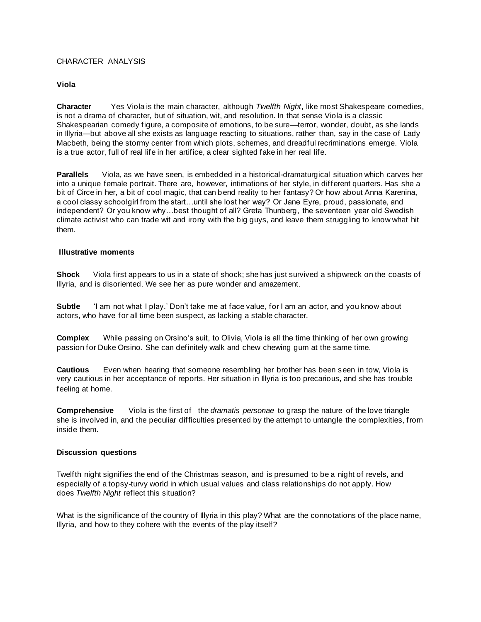## CHARACTER ANALYSIS

## **Viola**

**Character** Yes Viola is the main character, although *Twelfth Night*, like most Shakespeare comedies, is not a drama of character, but of situation, wit, and resolution. In that sense Viola is a classic Shakespearian comedy figure, a composite of emotions, to be sure—terror, wonder, doubt, as she lands in Illyria—but above all she exists as language reacting to situations, rather than, say in the case of Lady Macbeth, being the stormy center from which plots, schemes, and dreadful recriminations emerge. Viola is a true actor, full of real life in her artifice, a clear sighted fake in her real life.

**Parallels** Viola, as we have seen, is embedded in a historical-dramaturgical situation which carves her into a unique female portrait. There are, however, intimations of her style, in different quarters. Has she a bit of Circe in her, a bit of cool magic, that can bend reality to her fantasy? Or how about Anna Karenina, a cool classy schoolgirl from the start…until she lost her way? Or Jane Eyre, proud, passionate, and independent? Or you know why…best thought of all? Greta Thunberg, the seventeen year old Swedish climate activist who can trade wit and irony with the big guys, and leave them struggling to know what hit them.

#### **Illustrative moments**

**Shock** Viola first appears to us in a state of shock; she has just survived a shipwreck on the coasts of Illyria, and is disoriented. We see her as pure wonder and amazement.

**Subtle** 'I am not what I play.' Don't take me at face value, for I am an actor, and you know about actors, who have for all time been suspect, as lacking a stable character.

**Complex** While passing on Orsino's suit, to Olivia, Viola is all the time thinking of her own growing passion for Duke Orsino. She can definitely walk and chew chewing gum at the same time.

**Cautious** Even when hearing that someone resembling her brother has been seen in tow, Viola is very cautious in her acceptance of reports. Her situation in Illyria is too precarious, and she has trouble feeling at home.

**Comprehensive** Viola is the first of the *dramatis personae* to grasp the nature of the love triangle she is involved in, and the peculiar difficulties presented by the attempt to untangle the complexities, from inside them.

## **Discussion questions**

Twelfth night signifies the end of the Christmas season, and is presumed to be a night of revels, and especially of a topsy-turvy world in which usual values and class relationships do not apply. How does *Twelfth Night* reflect this situation?

What is the significance of the country of Illyria in this play? What are the connotations of the place name, Illyria, and how to they cohere with the events of the play itself?